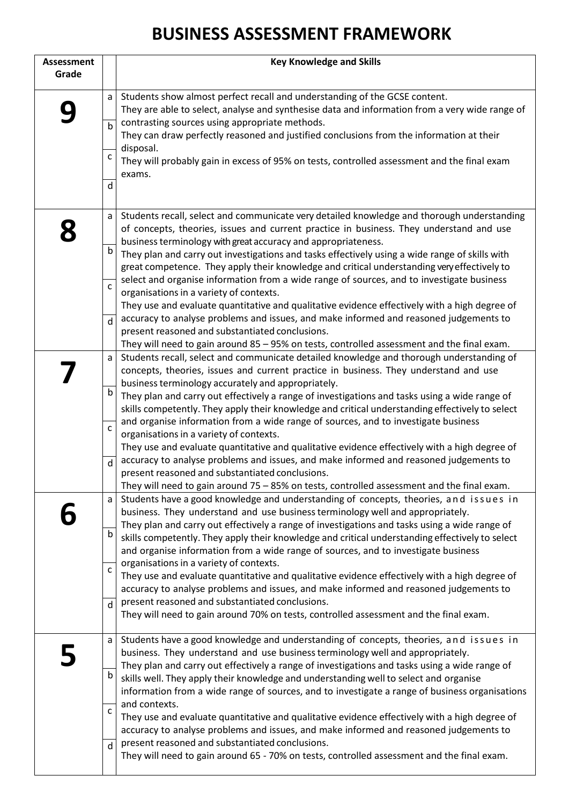## **BUSINESS ASSESSMENT FRAMEWORK**

| <b>Assessment</b><br>Grade |                   | <b>Key Knowledge and Skills</b>                                                                                                                                                                                                                                                                                                                          |
|----------------------------|-------------------|----------------------------------------------------------------------------------------------------------------------------------------------------------------------------------------------------------------------------------------------------------------------------------------------------------------------------------------------------------|
|                            | a                 | Students show almost perfect recall and understanding of the GCSE content.<br>They are able to select, analyse and synthesise data and information from a very wide range of                                                                                                                                                                             |
|                            | $\mathsf{b}$      | contrasting sources using appropriate methods.<br>They can draw perfectly reasoned and justified conclusions from the information at their                                                                                                                                                                                                               |
|                            | с                 | disposal.<br>They will probably gain in excess of 95% on tests, controlled assessment and the final exam<br>exams.                                                                                                                                                                                                                                       |
|                            | d                 |                                                                                                                                                                                                                                                                                                                                                          |
|                            | a                 | Students recall, select and communicate very detailed knowledge and thorough understanding<br>of concepts, theories, issues and current practice in business. They understand and use<br>business terminology with great accuracy and appropriateness.                                                                                                   |
|                            | b                 | They plan and carry out investigations and tasks effectively using a wide range of skills with<br>great competence. They apply their knowledge and critical understanding very effectively to                                                                                                                                                            |
|                            | C                 | select and organise information from a wide range of sources, and to investigate business<br>organisations in a variety of contexts.<br>They use and evaluate quantitative and qualitative evidence effectively with a high degree of                                                                                                                    |
|                            | d                 | accuracy to analyse problems and issues, and make informed and reasoned judgements to<br>present reasoned and substantiated conclusions.<br>They will need to gain around 85 - 95% on tests, controlled assessment and the final exam.                                                                                                                   |
|                            | a                 | Students recall, select and communicate detailed knowledge and thorough understanding of<br>concepts, theories, issues and current practice in business. They understand and use<br>business terminology accurately and appropriately.                                                                                                                   |
|                            | b                 | They plan and carry out effectively a range of investigations and tasks using a wide range of<br>skills competently. They apply their knowledge and critical understanding effectively to select                                                                                                                                                         |
|                            | $\mathsf{C}$      | and organise information from a wide range of sources, and to investigate business<br>organisations in a variety of contexts.<br>They use and evaluate quantitative and qualitative evidence effectively with a high degree of                                                                                                                           |
|                            | d                 | accuracy to analyse problems and issues, and make informed and reasoned judgements to<br>present reasoned and substantiated conclusions.<br>They will need to gain around 75 - 85% on tests, controlled assessment and the final exam.                                                                                                                   |
|                            | a                 | Students have a good knowledge and understanding of concepts, theories, and issues in<br>business. They understand and use business terminology well and appropriately.<br>They plan and carry out effectively a range of investigations and tasks using a wide range of                                                                                 |
|                            | b                 | skills competently. They apply their knowledge and critical understanding effectively to select<br>and organise information from a wide range of sources, and to investigate business                                                                                                                                                                    |
|                            | $\mathsf{C}$      | organisations in a variety of contexts.<br>They use and evaluate quantitative and qualitative evidence effectively with a high degree of<br>accuracy to analyse problems and issues, and make informed and reasoned judgements to                                                                                                                        |
|                            | d                 | present reasoned and substantiated conclusions.<br>They will need to gain around 70% on tests, controlled assessment and the final exam.                                                                                                                                                                                                                 |
|                            | a                 | Students have a good knowledge and understanding of concepts, theories, and issues in<br>business. They understand and use business terminology well and appropriately.<br>They plan and carry out effectively a range of investigations and tasks using a wide range of                                                                                 |
|                            | b                 | skills well. They apply their knowledge and understanding well to select and organise<br>information from a wide range of sources, and to investigate a range of business organisations                                                                                                                                                                  |
|                            | $\mathsf{C}$<br>d | and contexts.<br>They use and evaluate quantitative and qualitative evidence effectively with a high degree of<br>accuracy to analyse problems and issues, and make informed and reasoned judgements to<br>present reasoned and substantiated conclusions.<br>They will need to gain around 65 - 70% on tests, controlled assessment and the final exam. |
|                            |                   |                                                                                                                                                                                                                                                                                                                                                          |